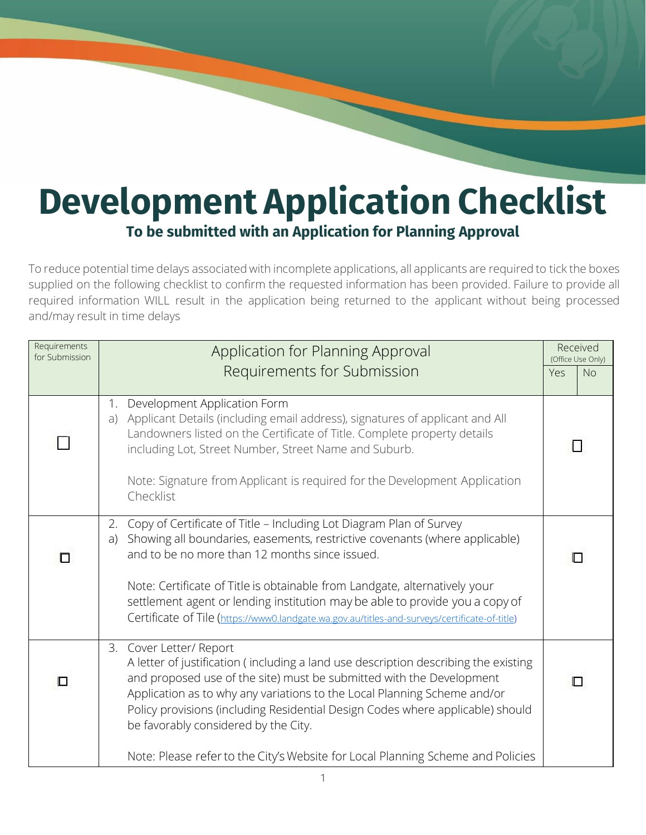## **Development Application Checklist To be submitted with an Application for Planning Approval**

To reduce potential time delays associated with incomplete applications, all applicants are required to tick the boxes supplied on the following checklist to confirm the requested information has been provided. Failure to provide all required information WILL result in the application being returned to the applicant without being processed and/may result in time delays

| Requirements<br>for Submission | Application for Planning Approval                                                                                                                                                                                                                                                                                                                                                                                                                                               |              |  |  |
|--------------------------------|---------------------------------------------------------------------------------------------------------------------------------------------------------------------------------------------------------------------------------------------------------------------------------------------------------------------------------------------------------------------------------------------------------------------------------------------------------------------------------|--------------|--|--|
|                                | Requirements for Submission                                                                                                                                                                                                                                                                                                                                                                                                                                                     | No<br>Yes    |  |  |
|                                | Development Application Form<br>1.<br>Applicant Details (including email address), signatures of applicant and All<br>a)<br>Landowners listed on the Certificate of Title. Complete property details<br>including Lot, Street Number, Street Name and Suburb.<br>Note: Signature from Applicant is required for the Development Application<br>Checklist                                                                                                                        | $\mathsf{L}$ |  |  |
| п                              | Copy of Certificate of Title - Including Lot Diagram Plan of Survey<br>2.<br>Showing all boundaries, easements, restrictive covenants (where applicable)<br>a)<br>and to be no more than 12 months since issued.<br>Note: Certificate of Title is obtainable from Landgate, alternatively your<br>settlement agent or lending institution may be able to provide you a copy of<br>Certificate of Tile (https://www0.landgate.wa.gov.au/titles-and-surveys/certificate-of-title) |              |  |  |
| ◻                              | 3. Cover Letter/ Report<br>A letter of justification (including a land use description describing the existing<br>and proposed use of the site) must be submitted with the Development<br>Application as to why any variations to the Local Planning Scheme and/or<br>Policy provisions (including Residential Design Codes where applicable) should<br>be favorably considered by the City.                                                                                    | П            |  |  |
|                                | Note: Please refer to the City's Website for Local Planning Scheme and Policies                                                                                                                                                                                                                                                                                                                                                                                                 |              |  |  |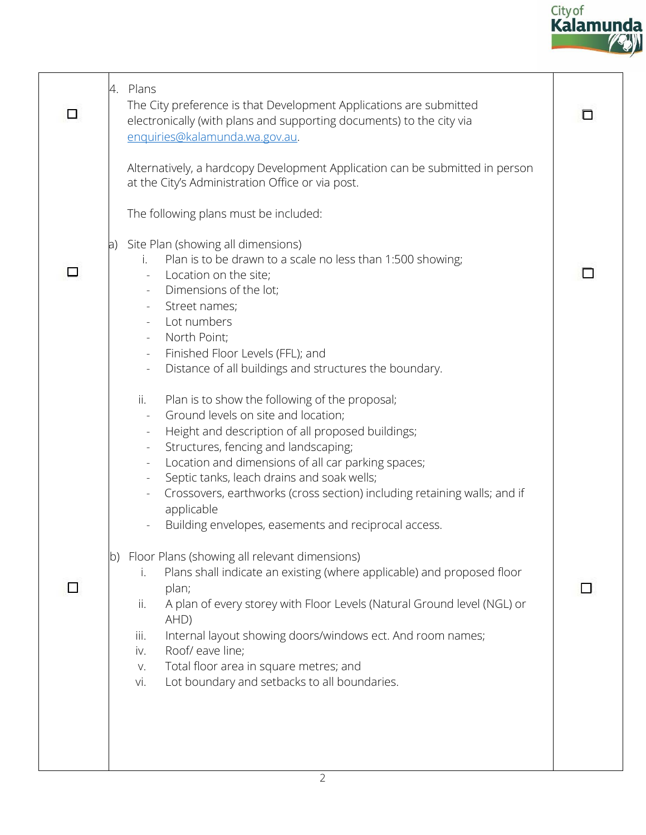

| □ | 4. Plans<br>The City preference is that Development Applications are submitted<br>electronically (with plans and supporting documents) to the city via<br>enquiries@kalamunda.wa.gov.au.                                                                                                                                                                                                                                                                                                                                                                                                                                                                                                                                                                                                                                                                                                            | O |
|---|-----------------------------------------------------------------------------------------------------------------------------------------------------------------------------------------------------------------------------------------------------------------------------------------------------------------------------------------------------------------------------------------------------------------------------------------------------------------------------------------------------------------------------------------------------------------------------------------------------------------------------------------------------------------------------------------------------------------------------------------------------------------------------------------------------------------------------------------------------------------------------------------------------|---|
|   | Alternatively, a hardcopy Development Application can be submitted in person<br>at the City's Administration Office or via post.<br>The following plans must be included:<br>a) Site Plan (showing all dimensions)<br>Plan is to be drawn to a scale no less than 1:500 showing;<br>i.<br>Location on the site;<br>Dimensions of the lot;<br>Street names;<br>Lot numbers<br>North Point;<br>$\equiv$<br>Finished Floor Levels (FFL); and<br>Distance of all buildings and structures the boundary.<br>$\overline{\phantom{a}}$                                                                                                                                                                                                                                                                                                                                                                     |   |
|   | Plan is to show the following of the proposal;<br>ii.<br>Ground levels on site and location;<br>Height and description of all proposed buildings;<br>Structures, fencing and landscaping;<br>Location and dimensions of all car parking spaces;<br>Septic tanks, leach drains and soak wells;<br>Crossovers, earthworks (cross section) including retaining walls; and if<br>applicable<br>Building envelopes, easements and reciprocal access.<br>Floor Plans (showing all relevant dimensions)<br>lb).<br>Plans shall indicate an existing (where applicable) and proposed floor<br>i.<br>plan;<br>A plan of every storey with Floor Levels (Natural Ground level (NGL) or<br>ii.<br>AHD)<br>Internal layout showing doors/windows ect. And room names;<br>iii.<br>Roof/ eave line;<br>iv.<br>Total floor area in square metres; and<br>V.<br>Lot boundary and setbacks to all boundaries.<br>vi. |   |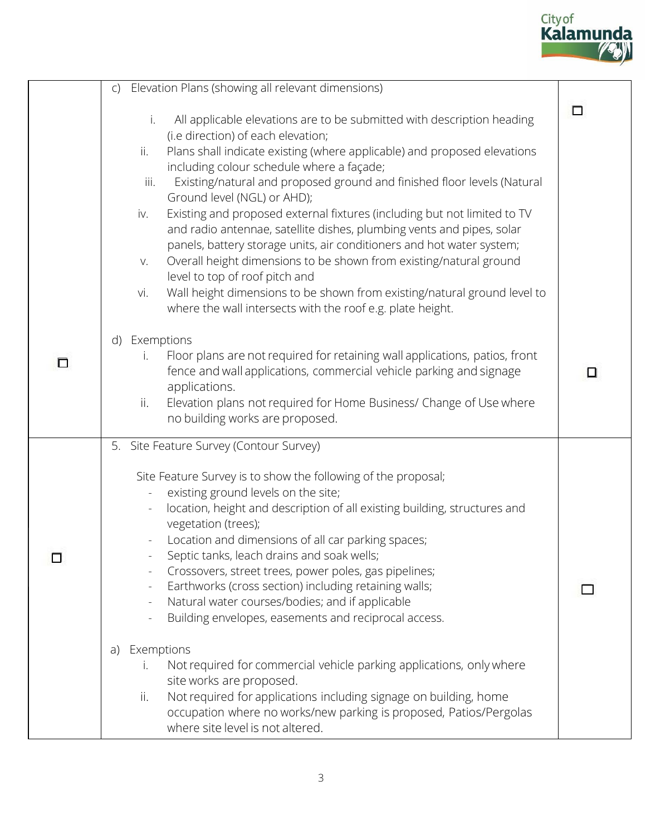

| Elevation Plans (showing all relevant dimensions)<br>$\mathsf{C}$                                                                                                                                                                                                                                                                                                                                                                                                                                                                                                                                                                                                                                                                                                                                                                                                                                                                |                                                                                                |
|----------------------------------------------------------------------------------------------------------------------------------------------------------------------------------------------------------------------------------------------------------------------------------------------------------------------------------------------------------------------------------------------------------------------------------------------------------------------------------------------------------------------------------------------------------------------------------------------------------------------------------------------------------------------------------------------------------------------------------------------------------------------------------------------------------------------------------------------------------------------------------------------------------------------------------|------------------------------------------------------------------------------------------------|
| All applicable elevations are to be submitted with description heading<br>i.<br>(i.e direction) of each elevation;<br>Plans shall indicate existing (where applicable) and proposed elevations<br>ii.<br>including colour schedule where a façade;<br>Existing/natural and proposed ground and finished floor levels (Natural<br>iii.<br>Ground level (NGL) or AHD);<br>Existing and proposed external fixtures (including but not limited to TV<br>iv.<br>and radio antennae, satellite dishes, plumbing vents and pipes, solar<br>panels, battery storage units, air conditioners and hot water system;<br>Overall height dimensions to be shown from existing/natural ground<br>V.<br>level to top of roof pitch and<br>Wall height dimensions to be shown from existing/natural ground level to<br>vi.                                                                                                                       | $\Box$                                                                                         |
| Exemptions<br>d)<br>Floor plans are not required for retaining wall applications, patios, front<br>j.<br>fence and wall applications, commercial vehicle parking and signage<br>applications.<br>Elevation plans not required for Home Business/ Change of Use where<br>ii.<br>no building works are proposed.                                                                                                                                                                                                                                                                                                                                                                                                                                                                                                                                                                                                                   | ◻                                                                                              |
| 5. Site Feature Survey (Contour Survey)<br>Site Feature Survey is to show the following of the proposal;<br>existing ground levels on the site;<br>location, height and description of all existing building, structures and<br>$\overline{\phantom{a}}$<br>vegetation (trees);<br>Location and dimensions of all car parking spaces;<br>Septic tanks, leach drains and soak wells;<br>Crossovers, street trees, power poles, gas pipelines;<br>Earthworks (cross section) including retaining walls;<br>Natural water courses/bodies; and if applicable<br>$\qquad \qquad \blacksquare$<br>Building envelopes, easements and reciprocal access.<br>Exemptions<br>a)<br>Not required for commercial vehicle parking applications, only where<br>L.<br>site works are proposed.<br>Not required for applications including signage on building, home<br>ii.<br>occupation where no works/new parking is proposed, Patios/Pergolas |                                                                                                |
|                                                                                                                                                                                                                                                                                                                                                                                                                                                                                                                                                                                                                                                                                                                                                                                                                                                                                                                                  | where the wall intersects with the roof e.g. plate height.<br>where site level is not altered. |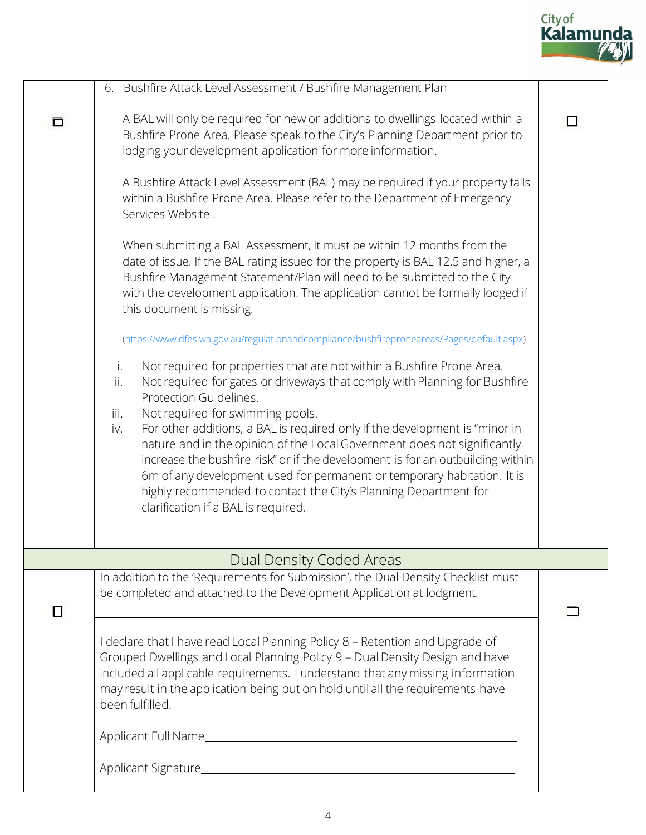

|   | 6. Bushfire Attack Level Assessment / Bushfire Management Plan                                                                                                                                                                                                                                                                                                                                                                                                                                                                                                                                                                                                                    |  |
|---|-----------------------------------------------------------------------------------------------------------------------------------------------------------------------------------------------------------------------------------------------------------------------------------------------------------------------------------------------------------------------------------------------------------------------------------------------------------------------------------------------------------------------------------------------------------------------------------------------------------------------------------------------------------------------------------|--|
| □ | A BAL will only be required for new or additions to dwellings located within a<br>Bushfire Prone Area. Please speak to the City's Planning Department prior to<br>lodging your development application for more information.<br>A Bushfire Attack Level Assessment (BAL) may be required if your property falls<br>within a Bushfire Prone Area. Please refer to the Department of Emergency                                                                                                                                                                                                                                                                                      |  |
|   | Services Website.                                                                                                                                                                                                                                                                                                                                                                                                                                                                                                                                                                                                                                                                 |  |
|   | When submitting a BAL Assessment, it must be within 12 months from the<br>date of issue. If the BAL rating issued for the property is BAL 12.5 and higher, a<br>Bushfire Management Statement/Plan will need to be submitted to the City<br>with the development application. The application cannot be formally lodged if<br>this document is missing.                                                                                                                                                                                                                                                                                                                           |  |
|   | (https://www.dfes.wa.gov.au/regulationandcompliance/bushfireproneareas/Pages/default.aspx)                                                                                                                                                                                                                                                                                                                                                                                                                                                                                                                                                                                        |  |
|   | Not required for properties that are not within a Bushfire Prone Area.<br>i.<br>Not required for gates or driveways that comply with Planning for Bushfire<br>ii.<br>Protection Guidelines.<br>Not required for swimming pools.<br>iii.<br>For other additions, a BAL is required only if the development is "minor in<br>iv.<br>nature and in the opinion of the Local Government does not significantly<br>increase the bushfire risk" or if the development is for an outbuilding within<br>6m of any development used for permanent or temporary habitation. It is<br>highly recommended to contact the City's Planning Department for<br>clarification if a BAL is required. |  |
|   | Dual Density Coded Areas                                                                                                                                                                                                                                                                                                                                                                                                                                                                                                                                                                                                                                                          |  |
| 0 | In addition to the 'Requirements for Submission', the Dual Density Checklist must<br>be completed and attached to the Development Application at lodgment.                                                                                                                                                                                                                                                                                                                                                                                                                                                                                                                        |  |
|   | I declare that I have read Local Planning Policy 8 - Retention and Upgrade of<br>Grouped Dwellings and Local Planning Policy 9 - Dual Density Design and have<br>included all applicable requirements. I understand that any missing information<br>may result in the application being put on hold until all the requirements have<br>been fulfilled.                                                                                                                                                                                                                                                                                                                            |  |
|   |                                                                                                                                                                                                                                                                                                                                                                                                                                                                                                                                                                                                                                                                                   |  |
|   |                                                                                                                                                                                                                                                                                                                                                                                                                                                                                                                                                                                                                                                                                   |  |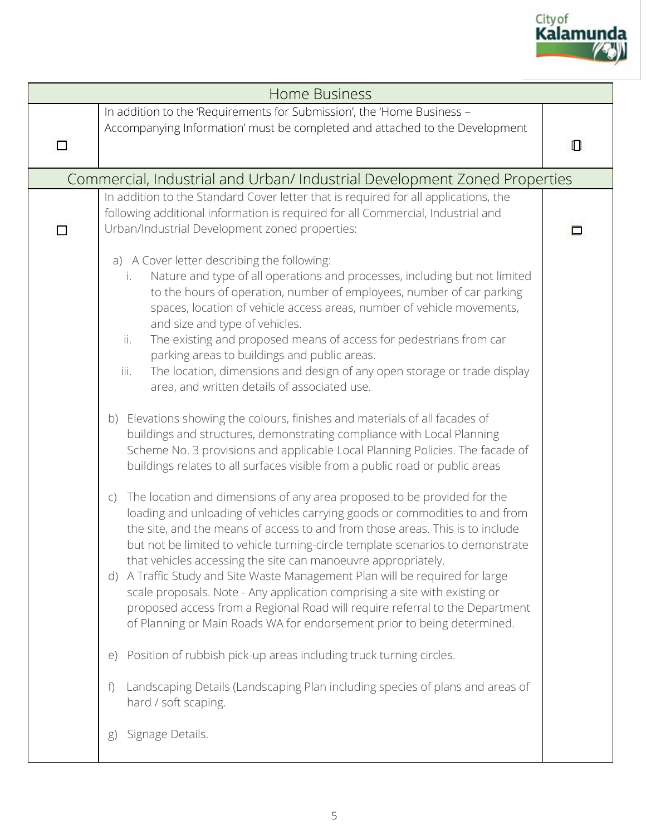

| <b>Home Business</b> |                                                                                                                                                                                                                                                                                                                                                                                                                                                                                                                                                                                                                                                                                                                                                                                                                                                                                                                                                                                                                                                                                                                                                                                                                                                                                                                                                                                                                                                                                                                                                                                                                                                                                                                                                                                                                                                                                         |   |  |
|----------------------|-----------------------------------------------------------------------------------------------------------------------------------------------------------------------------------------------------------------------------------------------------------------------------------------------------------------------------------------------------------------------------------------------------------------------------------------------------------------------------------------------------------------------------------------------------------------------------------------------------------------------------------------------------------------------------------------------------------------------------------------------------------------------------------------------------------------------------------------------------------------------------------------------------------------------------------------------------------------------------------------------------------------------------------------------------------------------------------------------------------------------------------------------------------------------------------------------------------------------------------------------------------------------------------------------------------------------------------------------------------------------------------------------------------------------------------------------------------------------------------------------------------------------------------------------------------------------------------------------------------------------------------------------------------------------------------------------------------------------------------------------------------------------------------------------------------------------------------------------------------------------------------------|---|--|
| □                    | In addition to the 'Requirements for Submission', the 'Home Business -<br>Accompanying Information' must be completed and attached to the Development                                                                                                                                                                                                                                                                                                                                                                                                                                                                                                                                                                                                                                                                                                                                                                                                                                                                                                                                                                                                                                                                                                                                                                                                                                                                                                                                                                                                                                                                                                                                                                                                                                                                                                                                   | О |  |
|                      | Commercial, Industrial and Urban/ Industrial Development Zoned Properties                                                                                                                                                                                                                                                                                                                                                                                                                                                                                                                                                                                                                                                                                                                                                                                                                                                                                                                                                                                                                                                                                                                                                                                                                                                                                                                                                                                                                                                                                                                                                                                                                                                                                                                                                                                                               |   |  |
| П                    | In addition to the Standard Cover letter that is required for all applications, the<br>following additional information is required for all Commercial, Industrial and<br>Urban/Industrial Development zoned properties:                                                                                                                                                                                                                                                                                                                                                                                                                                                                                                                                                                                                                                                                                                                                                                                                                                                                                                                                                                                                                                                                                                                                                                                                                                                                                                                                                                                                                                                                                                                                                                                                                                                                |   |  |
|                      | a) A Cover letter describing the following:<br>Nature and type of all operations and processes, including but not limited<br>i.<br>to the hours of operation, number of employees, number of car parking<br>spaces, location of vehicle access areas, number of vehicle movements,<br>and size and type of vehicles.<br>The existing and proposed means of access for pedestrians from car<br>ii.<br>parking areas to buildings and public areas.<br>The location, dimensions and design of any open storage or trade display<br>iii.<br>area, and written details of associated use.<br>Elevations showing the colours, finishes and materials of all facades of<br>b)<br>buildings and structures, demonstrating compliance with Local Planning<br>Scheme No. 3 provisions and applicable Local Planning Policies. The facade of<br>buildings relates to all surfaces visible from a public road or public areas<br>The location and dimensions of any area proposed to be provided for the<br>$\mathsf{C}$<br>loading and unloading of vehicles carrying goods or commodities to and from<br>the site, and the means of access to and from those areas. This is to include<br>but not be limited to vehicle turning-circle template scenarios to demonstrate<br>that vehicles accessing the site can manoeuvre appropriately.<br>A Traffic Study and Site Waste Management Plan will be required for large<br>(d)<br>scale proposals. Note - Any application comprising a site with existing or<br>proposed access from a Regional Road will require referral to the Department<br>of Planning or Main Roads WA for endorsement prior to being determined.<br>Position of rubbish pick-up areas including truck turning circles.<br>$\Theta$<br>Landscaping Details (Landscaping Plan including species of plans and areas of<br>f<br>hard / soft scaping.<br>Signage Details.<br>g) |   |  |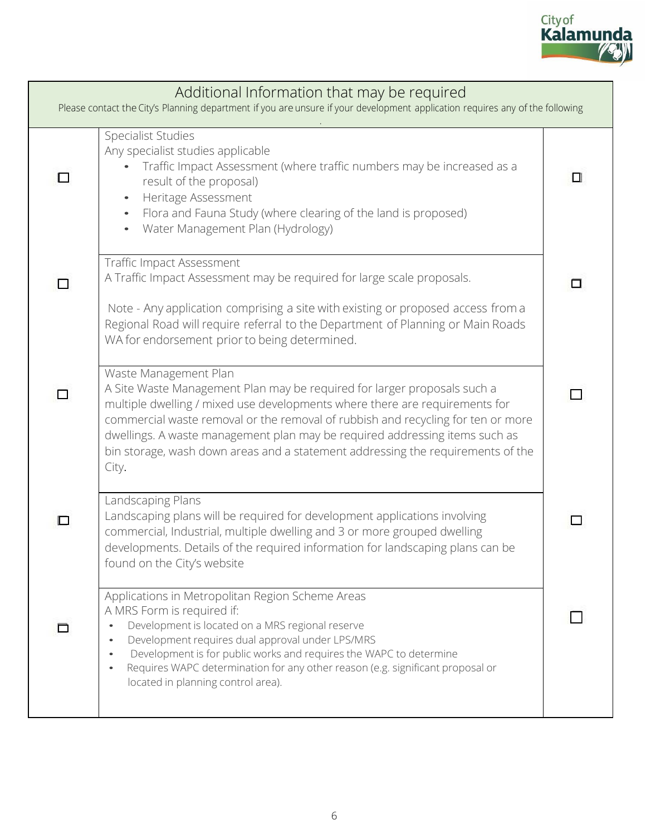

| Additional Information that may be required<br>Please contact the City's Planning department if you are unsure if your development application requires any of the following |                                                                                                                                                                                                                                                                                                                                                                                                                                                 |   |  |
|------------------------------------------------------------------------------------------------------------------------------------------------------------------------------|-------------------------------------------------------------------------------------------------------------------------------------------------------------------------------------------------------------------------------------------------------------------------------------------------------------------------------------------------------------------------------------------------------------------------------------------------|---|--|
|                                                                                                                                                                              | Specialist Studies<br>Any specialist studies applicable<br>Traffic Impact Assessment (where traffic numbers may be increased as a<br>result of the proposal)<br>Heritage Assessment<br>Flora and Fauna Study (where clearing of the land is proposed)<br>Water Management Plan (Hydrology)<br>$\bullet$                                                                                                                                         | Ш |  |
|                                                                                                                                                                              | <b>Traffic Impact Assessment</b><br>A Traffic Impact Assessment may be required for large scale proposals.<br>Note - Any application comprising a site with existing or proposed access from a<br>Regional Road will require referral to the Department of Planning or Main Roads<br>WA for endorsement prior to being determined.                                                                                                              |   |  |
|                                                                                                                                                                              | Waste Management Plan<br>A Site Waste Management Plan may be required for larger proposals such a<br>multiple dwelling / mixed use developments where there are requirements for<br>commercial waste removal or the removal of rubbish and recycling for ten or more<br>dwellings. A waste management plan may be required addressing items such as<br>bin storage, wash down areas and a statement addressing the requirements of the<br>City. | П |  |
|                                                                                                                                                                              | Landscaping Plans<br>Landscaping plans will be required for development applications involving<br>commercial, Industrial, multiple dwelling and 3 or more grouped dwelling<br>developments. Details of the required information for landscaping plans can be<br>found on the City's website                                                                                                                                                     |   |  |
|                                                                                                                                                                              | Applications in Metropolitan Region Scheme Areas<br>A MRS Form is required if:<br>Development is located on a MRS regional reserve<br>Development requires dual approval under LPS/MRS<br>Development is for public works and requires the WAPC to determine<br>$\bullet$<br>Requires WAPC determination for any other reason (e.g. significant proposal or<br>$\bullet$<br>located in planning control area).                                  |   |  |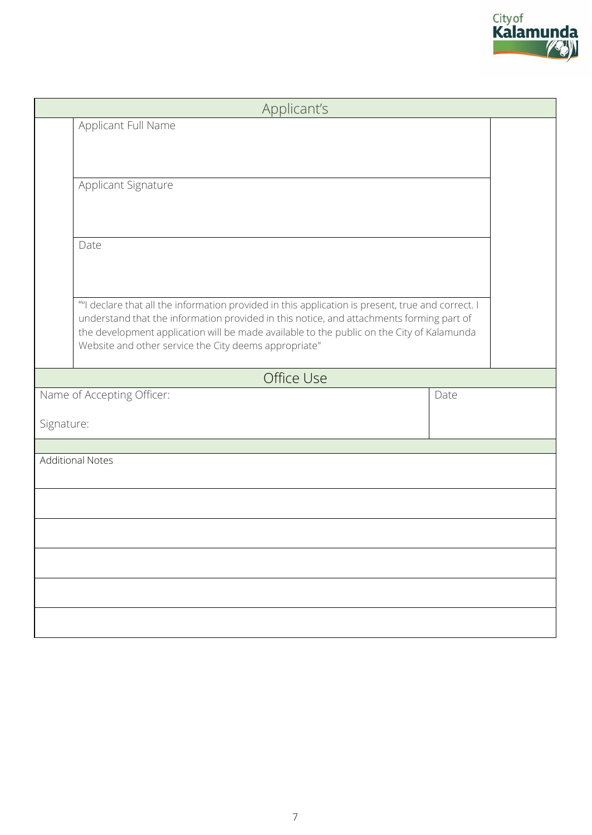| Applicant's                                                                                                                                                                                                                                                                                                                                         |      |
|-----------------------------------------------------------------------------------------------------------------------------------------------------------------------------------------------------------------------------------------------------------------------------------------------------------------------------------------------------|------|
| Applicant Full Name                                                                                                                                                                                                                                                                                                                                 |      |
| Applicant Signature                                                                                                                                                                                                                                                                                                                                 |      |
| Date                                                                                                                                                                                                                                                                                                                                                |      |
| ""I declare that all the information provided in this application is present, true and correct. I<br>understand that the information provided in this notice, and attachments forming part of<br>the development application will be made available to the public on the City of Kalamunda<br>Website and other service the City deems appropriate" |      |
| Office Use                                                                                                                                                                                                                                                                                                                                          |      |
| Name of Accepting Officer:                                                                                                                                                                                                                                                                                                                          | Date |
| Signature:                                                                                                                                                                                                                                                                                                                                          |      |
| <b>Additional Notes</b>                                                                                                                                                                                                                                                                                                                             |      |
|                                                                                                                                                                                                                                                                                                                                                     |      |
|                                                                                                                                                                                                                                                                                                                                                     |      |
|                                                                                                                                                                                                                                                                                                                                                     |      |
|                                                                                                                                                                                                                                                                                                                                                     |      |
|                                                                                                                                                                                                                                                                                                                                                     |      |
|                                                                                                                                                                                                                                                                                                                                                     |      |

Cityof<br><mark>Kalamunda</mark>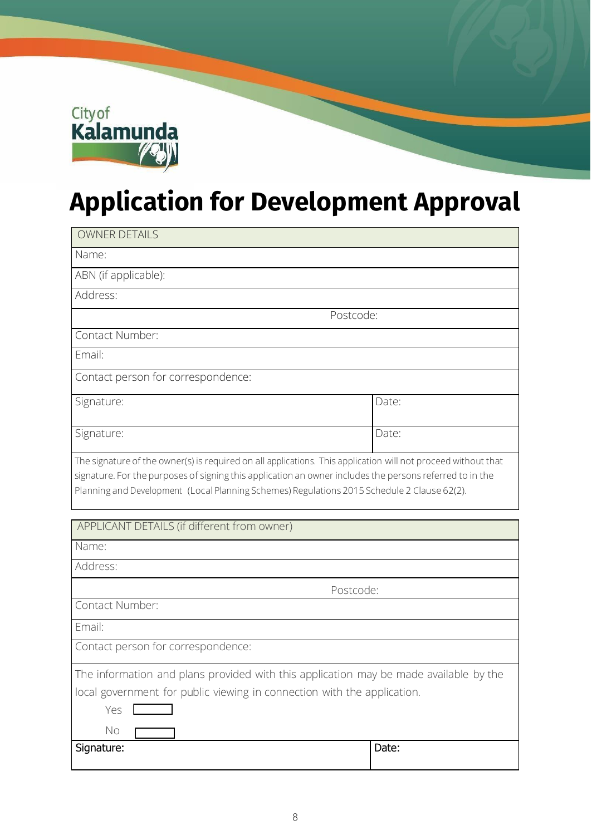

## **Application for Development Approval**

| <b>OWNER DETAILS</b>                                                                                                                                                                                                                                                                                                     |       |  |  |
|--------------------------------------------------------------------------------------------------------------------------------------------------------------------------------------------------------------------------------------------------------------------------------------------------------------------------|-------|--|--|
| Name:                                                                                                                                                                                                                                                                                                                    |       |  |  |
| ABN (if applicable):                                                                                                                                                                                                                                                                                                     |       |  |  |
| Address:                                                                                                                                                                                                                                                                                                                 |       |  |  |
| Postcode:                                                                                                                                                                                                                                                                                                                |       |  |  |
| Contact Number:                                                                                                                                                                                                                                                                                                          |       |  |  |
| Email:                                                                                                                                                                                                                                                                                                                   |       |  |  |
| Contact person for correspondence:                                                                                                                                                                                                                                                                                       |       |  |  |
| Signature:                                                                                                                                                                                                                                                                                                               | Date: |  |  |
| Signature:                                                                                                                                                                                                                                                                                                               | Date: |  |  |
| The signature of the owner(s) is required on all applications. This application will not proceed without that<br>signature. For the purposes of signing this application an owner includes the persons referred to in the<br>Planning and Development (Local Planning Schemes) Regulations 2015 Schedule 2 Clause 62(2). |       |  |  |

| APPLICANT DETAILS (if different from owner)                                           |       |  |
|---------------------------------------------------------------------------------------|-------|--|
| Name:                                                                                 |       |  |
| Address:                                                                              |       |  |
| Postcode:                                                                             |       |  |
| Contact Number:                                                                       |       |  |
| Email:                                                                                |       |  |
| Contact person for correspondence:                                                    |       |  |
| The information and plans provided with this application may be made available by the |       |  |
| local government for public viewing in connection with the application.               |       |  |
| Yes                                                                                   |       |  |
| No                                                                                    |       |  |
| Signature:                                                                            | Date: |  |